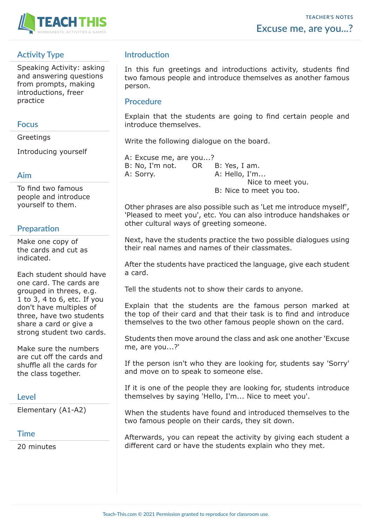

# **Activity Type**

Speaking Activity: asking and answering questions from prompts, making introductions, freer practice

#### **Focus**

Greetings

Introducing yourself

#### **Aim**

To find two famous people and introduce yourself to them.

# **Preparation**

Make one copy of the cards and cut as indicated.

Each student should have one card. The cards are grouped in threes, e.g. 1 to 3, 4 to 6, etc. If you don't have multiples of three, have two students share a card or give a strong student two cards.

Make sure the numbers are cut off the cards and shuffle all the cards for the class together.

## **Level**

Elementary (A1-A2)

## **Time**

20 minutes

## **Introduction**

In this fun greetings and introductions activity, students find two famous people and introduce themselves as another famous person.

#### **Procedure**

Explain that the students are going to find certain people and introduce themselves.

Write the following dialogue on the board.

A: Excuse me, are you...? B: No, I'm not. OR B: Yes, I am. A: Sorry. A: Hello, I'm... Nice to meet you. B: Nice to meet you too.

Other phrases are also possible such as 'Let me introduce myself', 'Pleased to meet you', etc. You can also introduce handshakes or other cultural ways of greeting someone.

Next, have the students practice the two possible dialogues using their real names and names of their classmates.

After the students have practiced the language, give each student a card.

Tell the students not to show their cards to anyone.

Explain that the students are the famous person marked at the top of their card and that their task is to find and introduce themselves to the two other famous people shown on the card.

Students then move around the class and ask one another 'Excuse me, are you...?'

If the person isn't who they are looking for, students say 'Sorry' and move on to speak to someone else.

If it is one of the people they are looking for, students introduce themselves by saying 'Hello, I'm... Nice to meet you'.

When the students have found and introduced themselves to the two famous people on their cards, they sit down.

Afterwards, you can repeat the activity by giving each student a different card or have the students explain who they met.